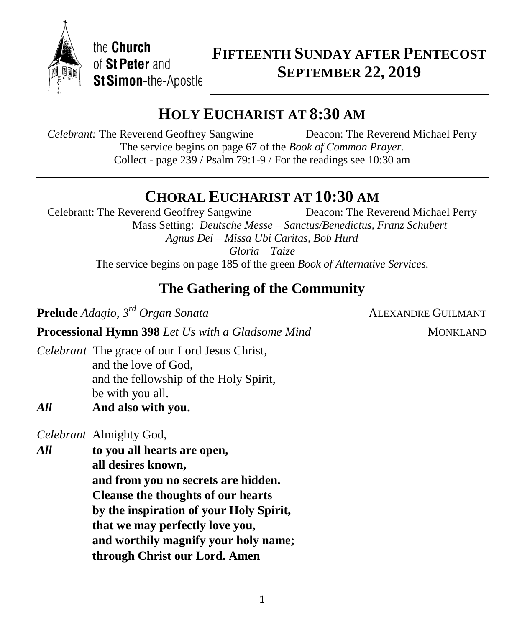

the Church of St Peter and St Simon-the-Apostle

## **FIFTEENTH SUNDAY AFTER PENTECOST SEPTEMBER 22, 2019**

## **HOLY EUCHARIST AT 8:30 AM**

*Celebrant:* The Reverend Geoffrey Sangwine Deacon: The Reverend Michael Perry The service begins on page 67 of the *Book of Common Prayer.* Collect - page 239 / Psalm 79:1-9 / For the readings see 10:30 am

# **CHORAL EUCHARIST AT 10:30 AM**<br> **CALCENS** Deacon: The Reverend Michael Perry

Celebrant: The Reverend Geoffrey Sangwine Mass Setting: *Deutsche Messe – Sanctus/Benedictus, Franz Schubert Agnus Dei – Missa Ubi Caritas, Bob Hurd*

*Gloria – Taize*

The service begins on page 185 of the green *Book of Alternative Services.*

## **The Gathering of the Community**

**Prelude** *Adagio,*  $3^{rd}$  *Organ Sonata* **ALEXANDRE GUILMANT** 

**Processional Hymn 398** *Let Us with a Gladsome Mind* MONKLAND

*Celebrant* The grace of our Lord Jesus Christ, and the love of God, and the fellowship of the Holy Spirit, be with you all.

*All* **And also with you.**

*Celebrant* Almighty God,

*All* **to you all hearts are open, all desires known, and from you no secrets are hidden. Cleanse the thoughts of our hearts by the inspiration of your Holy Spirit, that we may perfectly love you, and worthily magnify your holy name; through Christ our Lord. Amen**

1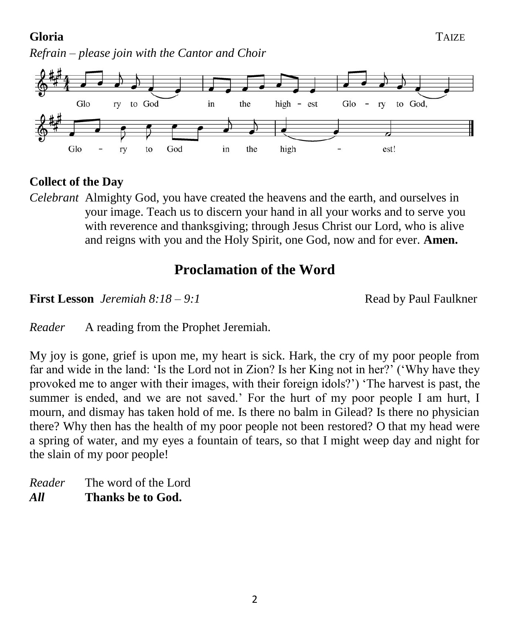## **Gloria** TAIZE

*Refrain – please join with the Cantor and Choir*



## **Collect of the Day**

*Celebrant* Almighty God, you have created the heavens and the earth, and ourselves in your image. Teach us to discern your hand in all your works and to serve you with reverence and thanksgiving; through Jesus Christ our Lord, who is alive and reigns with you and the Holy Spirit, one God, now and for ever. **Amen.**

## **Proclamation of the Word**

**First Lesson** *Jeremiah* 8:18 – 9:1 **Read by Paul Faulkner** 

*Reader* A reading from the Prophet Jeremiah.

My joy is gone, grief is upon me, my heart is sick. Hark, the cry of my poor people from far and wide in the land: 'Is the Lord not in Zion? Is her King not in her?' ('Why have they provoked me to anger with their images, with their foreign idols?') 'The harvest is past, the summer is ended, and we are not saved.' For the hurt of my poor people I am hurt, I mourn, and dismay has taken hold of me. Is there no balm in Gilead? Is there no physician there? Why then has the health of my poor people not been restored? O that my head were a spring of water, and my eyes a fountain of tears, so that I might weep day and night for the slain of my poor people!

*Reader* The word of the Lord *All* **Thanks be to God.**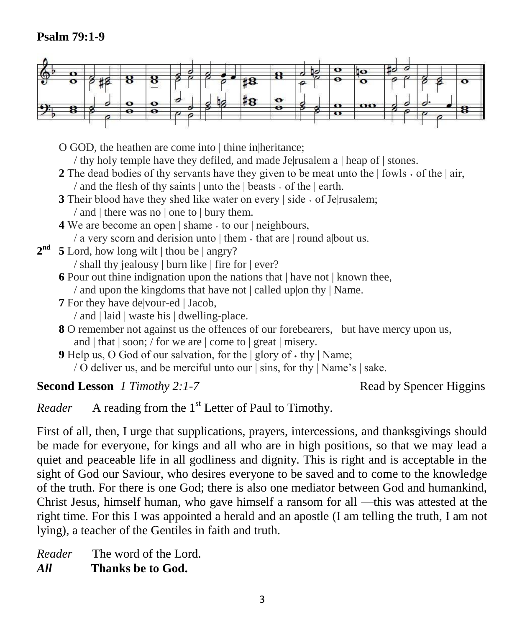## **Psalm 79:1-9**



O GOD, the heathen are come into | thine in heritance; / thy holy temple have they defiled, and made Je|rusalem a | heap of | stones.

- **2** The dead bodies of thy servants have they given to be meat unto the  $|\text{fowls} \cdot \text{of the }|$  air, / and the flesh of thy saints  $|$  unto the  $|$  beasts  $\cdot$  of the  $|$  earth.
- **3** Their blood have they shed like water on every  $\vert$  side  $\cdot$  of Je $\vert$ rusalem; / and | there was no | one to | bury them.
- **4** We are become an open  $|\$ shame  $\cdot$  to our  $|\$ neighbours,

/ a very scorn and derision unto  $|$  them  $\cdot$  that are  $|$  round a bout us.

**2 nd 5** Lord, how long wilt | thou be | angry?

/ shall thy jealousy | burn like | fire for | ever?

**6** Pour out thine indignation upon the nations that | have not | known thee,

/ and upon the kingdoms that have not | called up|on thy | Name.

- **7** For they have de|vour-ed | Jacob,
	- / and | laid | waste his | dwelling-place.
- **8** O remember not against us the offences of our forebearers, but have mercy upon us, and | that | soon; / for we are | come to | great | misery.
- **9** Help us, O God of our salvation, for the  $|$  glory of  $\cdot$  thy  $|$  Name;
	- / O deliver us, and be merciful unto our | sins, for thy | Name's | sake.

**Second Lesson** *1 Timothy 2:1-7* Read by Spencer Higgins

*Reader* A reading from the 1<sup>st</sup> Letter of Paul to Timothy.

First of all, then, I urge that supplications, prayers, intercessions, and thanksgivings should be made for everyone, for kings and all who are in high positions, so that we may lead a quiet and peaceable life in all godliness and dignity. This is right and is acceptable in the sight of God our Saviour, who desires everyone to be saved and to come to the knowledge of the truth. For there is one God; there is also one mediator between God and humankind, Christ Jesus, himself human, who gave himself a ransom for all —this was attested at the right time. For this I was appointed a herald and an apostle (I am telling the truth, I am not lying), a teacher of the Gentiles in faith and truth.

*Reader* The word of the Lord. *All* **Thanks be to God.**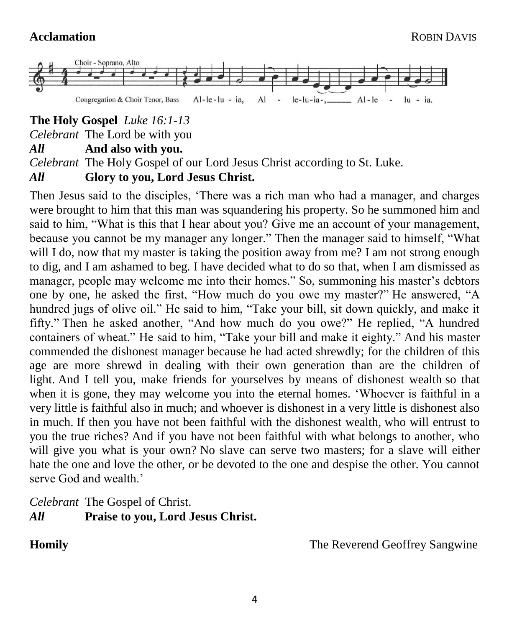

**The Holy Gospel** *Luke 16:1-13*

*Celebrant* The Lord be with you

### *All* **And also with you.**

*Celebrant* The Holy Gospel of our Lord Jesus Christ according to St. Luke.

## *All* **Glory to you, Lord Jesus Christ.**

Then Jesus said to the disciples, 'There was a rich man who had a manager, and charges were brought to him that this man was squandering his property. So he summoned him and said to him, "What is this that I hear about you? Give me an account of your management, because you cannot be my manager any longer." Then the manager said to himself, "What will I do, now that my master is taking the position away from me? I am not strong enough to dig, and I am ashamed to beg. I have decided what to do so that, when I am dismissed as manager, people may welcome me into their homes." So, summoning his master's debtors one by one, he asked the first, "How much do you owe my master?" He answered, "A hundred jugs of olive oil." He said to him, "Take your bill, sit down quickly, and make it fifty." Then he asked another, "And how much do you owe?" He replied, "A hundred containers of wheat." He said to him, "Take your bill and make it eighty." And his master commended the dishonest manager because he had acted shrewdly; for the children of this age are more shrewd in dealing with their own generation than are the children of light. And I tell you, make friends for yourselves by means of dishonest wealth so that when it is gone, they may welcome you into the eternal homes. 'Whoever is faithful in a very little is faithful also in much; and whoever is dishonest in a very little is dishonest also in much. If then you have not been faithful with the dishonest wealth, who will entrust to you the true riches? And if you have not been faithful with what belongs to another, who will give you what is your own? No slave can serve two masters; for a slave will either hate the one and love the other, or be devoted to the one and despise the other. You cannot serve God and wealth.<sup>'</sup>

*Celebrant* The Gospel of Christ. *All* **Praise to you, Lord Jesus Christ.**

**Homily The Reverend Geoffrey Sangwine**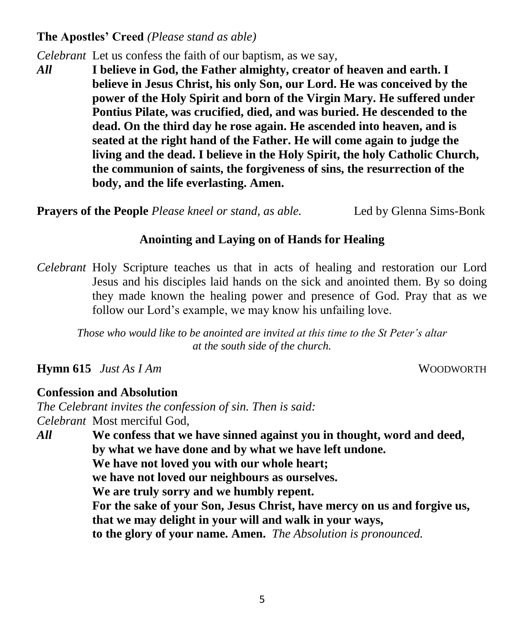## **The Apostles' Creed** *(Please stand as able)*

*Celebrant* Let us confess the faith of our baptism, as we say,

*All* **I believe in God, the Father almighty, creator of heaven and earth. I believe in Jesus Christ, his only Son, our Lord. He was conceived by the power of the Holy Spirit and born of the Virgin Mary. He suffered under Pontius Pilate, was crucified, died, and was buried. He descended to the dead. On the third day he rose again. He ascended into heaven, and is seated at the right hand of the Father. He will come again to judge the living and the dead. I believe in the Holy Spirit, the holy Catholic Church, the communion of saints, the forgiveness of sins, the resurrection of the body, and the life everlasting. Amen.**

**Prayers of the People** *Please kneel or stand, as able.* Led by Glenna Sims-Bonk

## **Anointing and Laying on of Hands for Healing**

*Celebrant* Holy Scripture teaches us that in acts of healing and restoration our Lord Jesus and his disciples laid hands on the sick and anointed them. By so doing they made known the healing power and presence of God. Pray that as we follow our Lord's example, we may know his unfailing love.

*Those who would like to be anointed are invited at this time to the St Peter's altar at the south side of the church.*

**Hymn 615** *Just As I Am* WOODWORTH

## **Confession and Absolution**

*The Celebrant invites the confession of sin. Then is said: Celebrant* Most merciful God,

*All* **We confess that we have sinned against you in thought, word and deed, by what we have done and by what we have left undone. We have not loved you with our whole heart; we have not loved our neighbours as ourselves. We are truly sorry and we humbly repent. For the sake of your Son, Jesus Christ, have mercy on us and forgive us, that we may delight in your will and walk in your ways, to the glory of your name. Amen.** *The Absolution is pronounced.*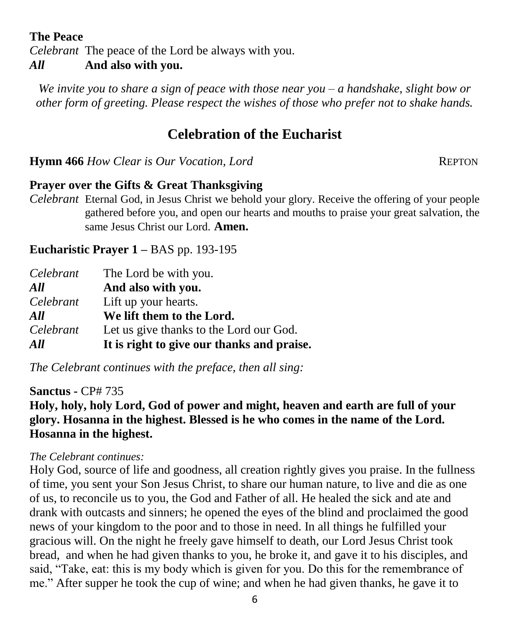## **The Peace**

*Celebrant* The peace of the Lord be always with you.

## *All* **And also with you.**

*We invite you to share a sign of peace with those near you – a handshake, slight bow or other form of greeting. Please respect the wishes of those who prefer not to shake hands.*

## **Celebration of the Eucharist**

**Hymn 466** *How Clear is Our Vocation, Lord* REPTON

## **Prayer over the Gifts & Great Thanksgiving**

*Celebrant* Eternal God, in Jesus Christ we behold your glory. Receive the offering of your people gathered before you, and open our hearts and mouths to praise your great salvation, the same Jesus Christ our Lord. **Amen.**

## **Eucharistic Prayer 1 –** BAS pp. 193-195

| Celebrant | The Lord be with you.                      |
|-----------|--------------------------------------------|
| All       | And also with you.                         |
| Celebrant | Lift up your hearts.                       |
| All       | We lift them to the Lord.                  |
| Celebrant | Let us give thanks to the Lord our God.    |
| All       | It is right to give our thanks and praise. |

*The Celebrant continues with the preface, then all sing:*

## **Sanctus -** CP# 735

**Holy, holy, holy Lord, God of power and might, heaven and earth are full of your glory. Hosanna in the highest. Blessed is he who comes in the name of the Lord. Hosanna in the highest.**

#### *The Celebrant continues:*

Holy God, source of life and goodness, all creation rightly gives you praise. In the fullness of time, you sent your Son Jesus Christ, to share our human nature, to live and die as one of us, to reconcile us to you, the God and Father of all. He healed the sick and ate and drank with outcasts and sinners; he opened the eyes of the blind and proclaimed the good news of your kingdom to the poor and to those in need. In all things he fulfilled your gracious will. On the night he freely gave himself to death, our Lord Jesus Christ took bread, and when he had given thanks to you, he broke it, and gave it to his disciples, and said, "Take, eat: this is my body which is given for you. Do this for the remembrance of me." After supper he took the cup of wine; and when he had given thanks, he gave it to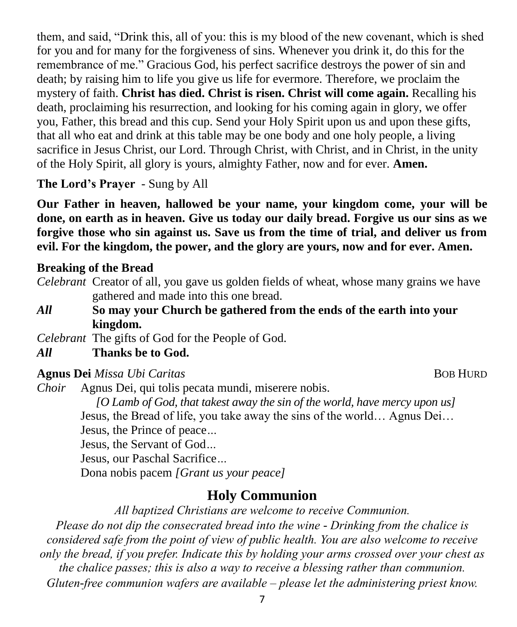them, and said, "Drink this, all of you: this is my blood of the new covenant, which is shed for you and for many for the forgiveness of sins. Whenever you drink it, do this for the remembrance of me." Gracious God, his perfect sacrifice destroys the power of sin and death; by raising him to life you give us life for evermore. Therefore, we proclaim the mystery of faith. **Christ has died. Christ is risen. Christ will come again.** Recalling his death, proclaiming his resurrection, and looking for his coming again in glory, we offer you, Father, this bread and this cup. Send your Holy Spirit upon us and upon these gifts, that all who eat and drink at this table may be one body and one holy people, a living sacrifice in Jesus Christ, our Lord. Through Christ, with Christ, and in Christ, in the unity of the Holy Spirit, all glory is yours, almighty Father, now and for ever. **Amen.**

**The Lord's Prayer** - Sung by All

**Our Father in heaven, hallowed be your name, your kingdom come, your will be done, on earth as in heaven. Give us today our daily bread. Forgive us our sins as we forgive those who sin against us. Save us from the time of trial, and deliver us from evil. For the kingdom, the power, and the glory are yours, now and for ever. Amen.**

## **Breaking of the Bread**

- *Celebrant* Creator of all, you gave us golden fields of wheat, whose many grains we have gathered and made into this one bread.
- *All* **So may your Church be gathered from the ends of the earth into your kingdom.**

*Celebrant* The gifts of God for the People of God.

## *All* **Thanks be to God.**

## **Agnus Dei** *Missa Ubi Caritas* BOB HURD

*Choir* Agnus Dei, qui tolis pecata mundi, miserere nobis. *[O Lamb of God, that takest away the sin of the world, have mercy upon us]* Jesus, the Bread of life, you take away the sins of the world… Agnus Dei… Jesus, the Prince of peace*…* Jesus, the Servant of God*…* Jesus, our Paschal Sacrifice*…* Dona nobis pacem *[Grant us your peace]*

## **Holy Communion**

*All baptized Christians are welcome to receive Communion.*

*Please do not dip the consecrated bread into the wine - Drinking from the chalice is considered safe from the point of view of public health. You are also welcome to receive only the bread, if you prefer. Indicate this by holding your arms crossed over your chest as the chalice passes; this is also a way to receive a blessing rather than communion. Gluten-free communion wafers are available – please let the administering priest know.*